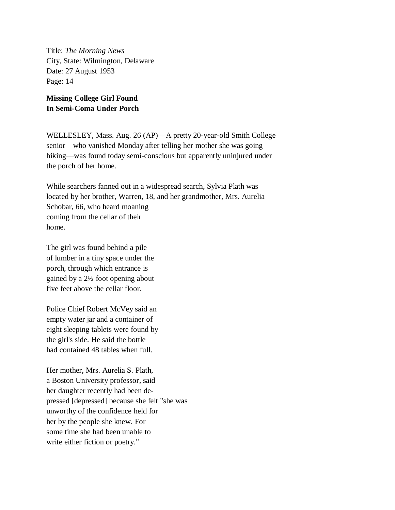Title: *The Morning News* City, State: Wilmington, Delaware Date: 27 August 1953 Page: 14

## **Missing College Girl Found In Semi-Coma Under Porch**

WELLESLEY, Mass. Aug. 26 (AP)—A pretty 20-year-old Smith College senior—who vanished Monday after telling her mother she was going hiking—was found today semi-conscious but apparently uninjured under the porch of her home.

While searchers fanned out in a widespread search, Sylvia Plath was located by her brother, Warren, 18, and her grandmother, Mrs. Aurelia Schobar, 66, who heard moaning coming from the cellar of their home.

The girl was found behind a pile of lumber in a tiny space under the porch, through which entrance is gained by a 2½ foot opening about five feet above the cellar floor.

Police Chief Robert McVey said an empty water jar and a container of eight sleeping tablets were found by the girl's side. He said the bottle had contained 48 tables when full.

Her mother, Mrs. Aurelia S. Plath, a Boston University professor, said her daughter recently had been depressed [depressed] because she felt "she was unworthy of the confidence held for her by the people she knew. For some time she had been unable to write either fiction or poetry."